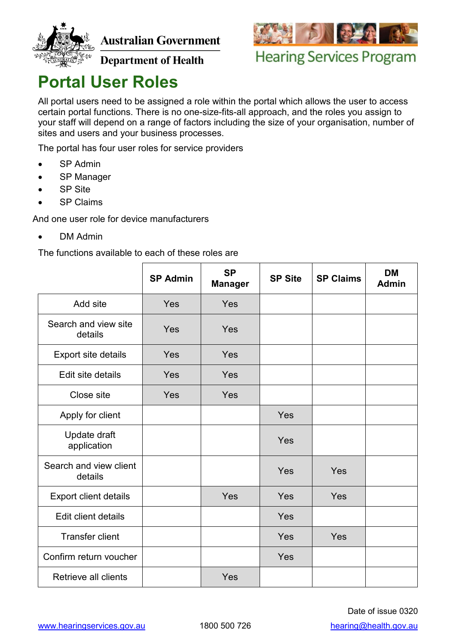

**Australian Government** 



**Hearing Services Program** 

**Department of Health** 

## **Portal User Roles**

All portal users need to be assigned a role within the portal which allows the user to access certain portal functions. There is no one-size-fits-all approach, and the roles you assign to your staff will depend on a range of factors including the size of your organisation, number of sites and users and your business processes.

The portal has four user roles for service providers

- SP Admin
- SP Manager
- SP Site
- SP Claims

And one user role for device manufacturers

• DM Admin

The functions available to each of these roles are

|                                   | <b>SP Admin</b> | <b>SP</b><br><b>Manager</b> | <b>SP Site</b> | <b>SP Claims</b> | <b>DM</b><br>Admin |
|-----------------------------------|-----------------|-----------------------------|----------------|------------------|--------------------|
| Add site                          | Yes             | Yes                         |                |                  |                    |
| Search and view site<br>details   | Yes             | Yes                         |                |                  |                    |
| Export site details               | Yes             | Yes                         |                |                  |                    |
| Edit site details                 | Yes             | Yes                         |                |                  |                    |
| Close site                        | Yes             | Yes                         |                |                  |                    |
| Apply for client                  |                 |                             | Yes            |                  |                    |
| Update draft<br>application       |                 |                             | Yes            |                  |                    |
| Search and view client<br>details |                 |                             | Yes            | Yes              |                    |
| Export client details             |                 | Yes                         | Yes            | Yes              |                    |
| <b>Edit client details</b>        |                 |                             | Yes            |                  |                    |
| <b>Transfer client</b>            |                 |                             | Yes            | Yes              |                    |
| Confirm return voucher            |                 |                             | Yes            |                  |                    |
| Retrieve all clients              |                 | Yes                         |                |                  |                    |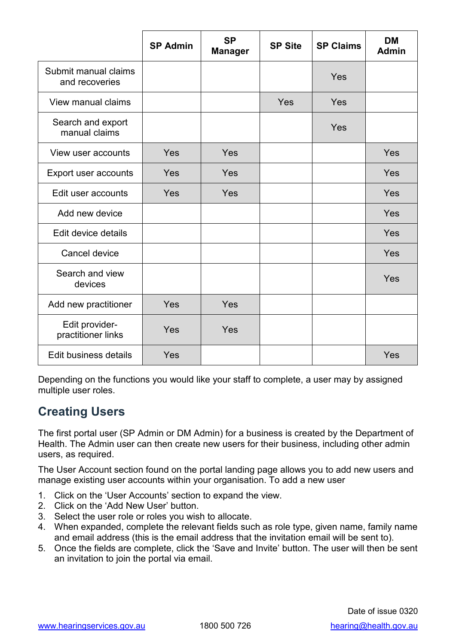|                                        | <b>SP Admin</b> | <b>SP</b><br><b>Manager</b> | <b>SP Site</b> | <b>SP Claims</b> | <b>DM</b><br><b>Admin</b> |
|----------------------------------------|-----------------|-----------------------------|----------------|------------------|---------------------------|
| Submit manual claims<br>and recoveries |                 |                             |                | Yes              |                           |
| View manual claims                     |                 |                             | Yes            | Yes              |                           |
| Search and export<br>manual claims     |                 |                             |                | Yes              |                           |
| View user accounts                     | Yes             | Yes                         |                |                  | Yes                       |
| Export user accounts                   | Yes             | Yes                         |                |                  | Yes                       |
| Edit user accounts                     | Yes             | Yes                         |                |                  | Yes                       |
| Add new device                         |                 |                             |                |                  | Yes                       |
| Edit device details                    |                 |                             |                |                  | Yes                       |
| Cancel device                          |                 |                             |                |                  | Yes                       |
| Search and view<br>devices             |                 |                             |                |                  | Yes                       |
| Add new practitioner                   | Yes             | Yes                         |                |                  |                           |
| Edit provider-<br>practitioner links   | Yes             | Yes                         |                |                  |                           |
| Edit business details                  | Yes             |                             |                |                  | Yes                       |

Depending on the functions you would like your staff to complete, a user may by assigned multiple user roles.

## **Creating Users**

The first portal user (SP Admin or DM Admin) for a business is created by the Department of Health. The Admin user can then create new users for their business, including other admin users, as required.

The User Account section found on the portal landing page allows you to add new users and manage existing user accounts within your organisation. To add a new user

- 1. Click on the 'User Accounts' section to expand the view.
- 2. Click on the 'Add New User' button.
- 3. Select the user role or roles you wish to allocate.
- 4. When expanded, complete the relevant fields such as role type, given name, family name and email address (this is the email address that the invitation email will be sent to).
- 5. Once the fields are complete, click the 'Save and Invite' button. The user will then be sent an invitation to join the portal via email.